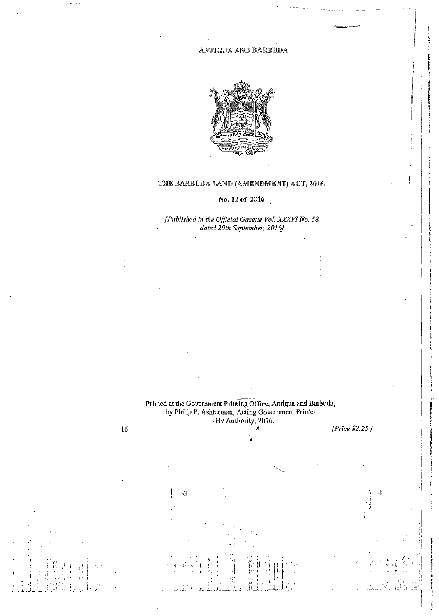ANTIGUA AND BARBUDA



## THE BARBUDA LAND (AMENDMENT) ACT, 2016.

# No. 12 of 2016

[Published in the Official Gazette Vol. XXXVI No. 58 dated 29th September, 2016]

Printed at the Government Printing Office, Antigua and Barbuda,<br>by Philip P. Ashterman, Acting Government Printer<br>- By Authority, 2016.

y, .<br>N

16

[Price  $$2.25$ ]

4Î

 $\tilde{\mathbf{F}}^{\star}_{\mathrm{in}}$ 11,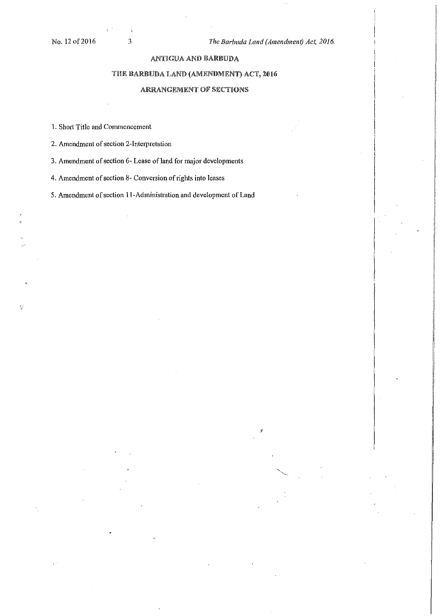## AN'UGUA AND RARIBUDA

## THE BARBUDA LAND (AMENDMENT) ACT, 2016

### ARRANGEMENT OF SECTIONS

1. Short Title and Commencement

2. Amendment of section 2-Interpretation

3. Amendment of section 6- Lease of land for major developments

4. Amendment of section 8- Conversion of rights into leases

5. Amendment of section 11-Administration and development of Land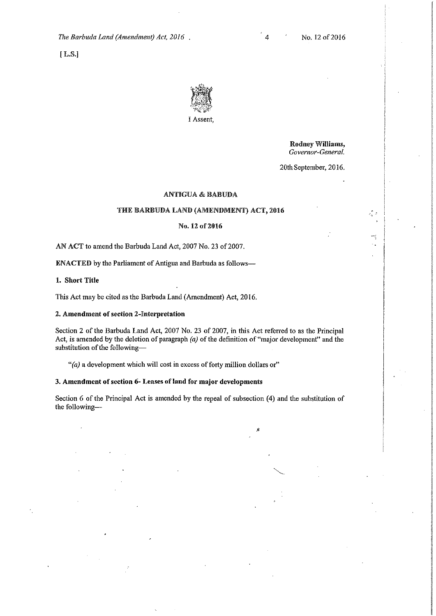*The Barbuda Land (Amendment) Act, 2016* 

! L,§.J



Rodney Williams, *Governor-General.* 

្រុ

÷ý

20th September, 2016.

### ANTIGUA & BABUDA

### THE BARBUDA LAND (AMENDMENT) ACT, 2016

#### No. 12 of 2016

AN ACT to amend the Barbuda Land Act, 2007 No. 23 of 2007.

ENACTED by the Parliament of Antigua and Barbuda as follows-

1. Short Title

This Act may be cited as the Barbuda Land (Amendment) Act, 2016.

#### 2. Amendment of section 2-Interpretation

Section 2 of the Barbuda Land Act, 2007 No. 23 of 2007, in this Act referred to as the Principal Act, is amended by the deletion of paragraph *(a)* of the definition of "major development" and the substitution of the following-

*"(a)* a development which will cost in excess of forty million dollars or"

### **3. Amendment of section 6- Leases of land for major developments**

Section 6 of the Principal Act is amended by the repeal of subsection (4) and the substitution of the following-